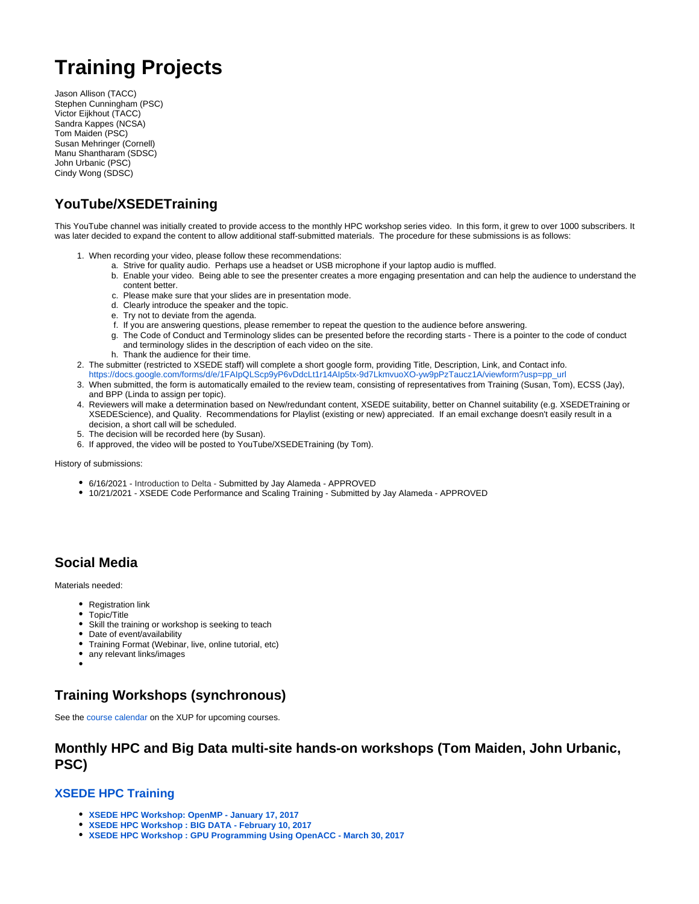# **Training Projects**

Jason Allison (TACC) Stephen Cunningham (PSC) Victor Eijkhout (TACC) Sandra Kappes (NCSA) Tom Maiden (PSC) Susan Mehringer (Cornell) Manu Shantharam (SDSC) John Urbanic (PSC) Cindy Wong (SDSC)

### **YouTube/XSEDETraining**

This YouTube channel was initially created to provide access to the monthly HPC workshop series video. In this form, it grew to over 1000 subscribers. It was later decided to expand the content to allow additional staff-submitted materials. The procedure for these submissions is as follows:

- 1. When recording your video, please follow these recommendations:
	- a. Strive for quality audio. Perhaps use a headset or USB microphone if your laptop audio is muffled.
	- b. Enable your video. Being able to see the presenter creates a more engaging presentation and can help the audience to understand the content better.
	- c. Please make sure that your slides are in presentation mode.
	- d. Clearly introduce the speaker and the topic.
	- e. Try not to deviate from the agenda.
	- f. If you are answering questions, please remember to repeat the question to the audience before answering.
	- g. The Code of Conduct and Terminology slides can be presented before the recording starts There is a pointer to the code of conduct and terminology slides in the description of each video on the site.
		- h. Thank the audience for their time.
- 2. The submitter (restricted to XSEDE staff) will complete a short google form, providing Title, Description, Link, and Contact info.
- [https://docs.google.com/forms/d/e/1FAIpQLScp9yP6vDdcLt1r14AIp5tx-9d7LkmvuoXO-yw9pPzTaucz1A/viewform?usp=pp\\_url](https://docs.google.com/forms/d/e/1FAIpQLScp9yP6vDdcLt1r14AIp5tx-9d7LkmvuoXO-yw9pPzTaucz1A/viewform?usp=pp_url)
- 3. When submitted, the form is automatically emailed to the review team, consisting of representatives from Training (Susan, Tom), ECSS (Jay), and BPP (Linda to assign per topic).
- 4. Reviewers will make a determination based on New/redundant content, XSEDE suitability, better on Channel suitability (e.g. XSEDETraining or XSEDEScience), and Quality. Recommendations for Playlist (existing or new) appreciated. If an email exchange doesn't easily result in a decision, a short call will be scheduled.
- 5. The decision will be recorded here (by Susan).
- 6. If approved, the video will be posted to YouTube/XSEDETraining (by Tom).

#### History of submissions:

- 6/16/2021 Introduction to Delta Submitted by Jay Alameda APPROVED
- 10/21/2021 XSEDE Code Performance and Scaling Training Submitted by Jay Alameda APPROVED

### **Social Media**

Materials needed:

- Registration link
- $\bullet$ Topic/Title
- Skill the training or workshop is seeking to teach
- Date of event/availability
- Training Format (Webinar, live, online tutorial, etc)
- any relevant links/images

### **Training Workshops (synchronous)**

See the [course calendar](https://portal.xsede.org/course-calendar) on the XUP for upcoming courses.

### **Monthly HPC and Big Data multi-site hands-on workshops (Tom Maiden, John Urbanic, PSC)**

#### **[XSEDE HPC Training](https://www.psc.edu/xsede-hpc-series-all-workshops)**

- **[XSEDE HPC Workshop: OpenMP January 17, 2017](https://www.psc.edu/hpc-workshop-series/openmp-january-2017)**
- **[XSEDE HPC Workshop : BIG DATA February 10, 2017](https://www.psc.edu/current-workshop/136-users/training/2500-xsede-hpc-workshop-february-10-2017-big-data)**
- **[XSEDE HPC Workshop : GPU Programming Using OpenACC March 30, 2017](https://www.psc.edu/hpc-workshop-series/openacc-march-2017)**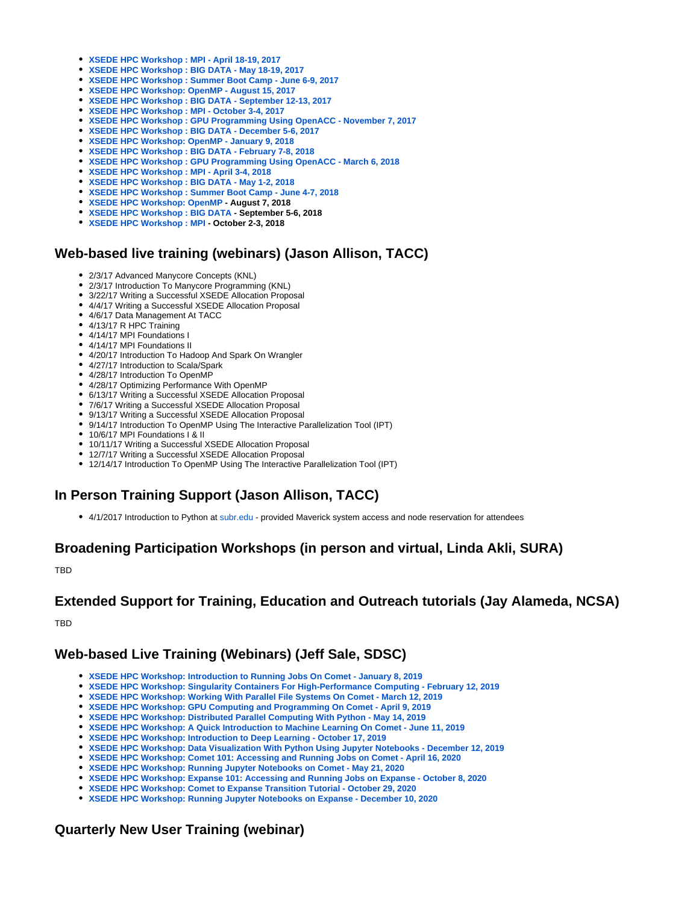- **[XSEDE HPC Workshop : MPI April 18-19, 2017](https://www.psc.edu/hpc-workshop-series/mpi-april-2017)**
- **[XSEDE HPC Workshop : BIG DATA May 18-19, 2017](https://www.psc.edu/hpc-workshop-series/big-data-may-2017)**
- **[XSEDE HPC Workshop : Summer Boot Camp June 6-9, 2017](https://www.psc.edu/hpc-workshop-series/summer-boot-camp-2017)**
- **[XSEDE HPC Workshop: OpenMP August 15, 2017](https://www.psc.edu/hpc-workshop-series/openmp-august-2017)**
- **[XSEDE HPC Workshop : BIG DATA September 12-13, 2017](https://www.psc.edu/hpc-workshop-series/big-data-september-2017)**
- **[XSEDE HPC Workshop : MPI October 3-4, 2017](https://www.psc.edu/hpc-workshop-series/mpi-october-2017)**
- **[XSEDE HPC Workshop : GPU Programming Using OpenACC November 7, 2017](https://psc.edu/hpc-workshop-series/openacc-november-2017)**
- **[XSEDE HPC Workshop : BIG DATA December 5-6, 2017](https://psc.edu/current-workshop)**
- **[XSEDE HPC Workshop: OpenMP January 9, 2018](https://www.psc.edu/current-workshop)**
- **[XSEDE HPC Workshop : BIG DATA February 7-8, 2018](https://www.psc.edu/hpc-workshop-series/big-data-february-2018)**
- **[XSEDE HPC Workshop : GPU Programming Using OpenACC March 6, 2018](https://www.psc.edu/current-workshop)**
- **[XSEDE HPC Workshop : MPI April 3-4, 2018](https://www.psc.edu/current-workshop)**
- **[XSEDE HPC Workshop : BIG DATA May 1-2, 2018](https://www.psc.edu/hpc-workshop-series/big-data-may-2018)**
- **[XSEDE HPC Workshop : Summer Boot Camp June 4-7, 2018](https://www.psc.edu/hpc-workshop-series/summer-bootcamp-2018)**
- **[XSEDE HPC Workshop: OpenMP](https://www.psc.edu/hpc-workshop-series/openmp-august-2018) August 7, 2018**
- **[XSEDE HPC Workshop : BIG DATA](https://www.psc.edu/hpc-workshop-series/big-data-september-2018) September 5-6, 2018**
- **[XSEDE HPC Workshop : MPI](https://www.psc.edu/hpc-workshop-series/mpi-october-2018) October 2-3, 2018**

### **Web-based live training (webinars) (Jason Allison, TACC)**

- 2/3/17 Advanced Manycore Concepts (KNL)
- 2/3/17 Introduction To Manycore Programming (KNL)
- 3/22/17 Writing a Successful XSEDE Allocation Proposal
- 4/4/17 Writing a Successful XSEDE Allocation Proposal
- 4/6/17 Data Management At TACC
- 4/13/17 R HPC Training
- 4/14/17 MPI Foundations I
- 4/14/17 MPI Foundations II
- 4/20/17 Introduction To Hadoop And Spark On Wrangler
- 4/27/17 Introduction to Scala/Spark
- 4/28/17 Introduction To OpenMP
- 4/28/17 Optimizing Performance With OpenMP
- 6/13/17 Writing a Successful XSEDE Allocation Proposal
- 7/6/17 Writing a Successful XSEDE Allocation Proposal
- 9/13/17 Writing a Successful XSEDE Allocation Proposal
- 9/14/17 Introduction To OpenMP Using The Interactive Parallelization Tool (IPT)
- 10/6/17 MPI Foundations I & II
- 10/11/17 Writing a Successful XSEDE Allocation Proposal
- 12/7/17 Writing a Successful XSEDE Allocation Proposal
- 12/14/17 Introduction To OpenMP Using The Interactive Parallelization Tool (IPT)

### **In Person Training Support (Jason Allison, TACC)**

• 4/1/2017 Introduction to Python at [subr.edu](http://subr.edu) - provided Maverick system access and node reservation for attendees

### **Broadening Participation Workshops (in person and virtual, Linda Akli, SURA)**

**TRD** 

### **Extended Support for Training, Education and Outreach tutorials (Jay Alameda, NCSA)**

TBD

### **Web-based Live Training (Webinars) (Jeff Sale, SDSC)**

- **[XSEDE HPC Workshop: Introduction to Running Jobs On Comet January 8, 2019](https://www.sdsc.edu/education_and_training/webinars.html)**
- **[XSEDE HPC Workshop: Singularity Containers For High-Performance Computing February 12, 2019](https://www.sdsc.edu/education_and_training/webinars.html)**
- **[XSEDE HPC Workshop: Working With Parallel File Systems On Comet March 12, 2019](https://www.sdsc.edu/education_and_training/webinars.html)**
- **[XSEDE HPC Workshop: GPU Computing and Programming On Comet April 9, 2019](https://www.sdsc.edu/education_and_training/webinars.html)**
- **[XSEDE HPC Workshop: Distributed Parallel Computing With Python May 14, 2019](https://www.sdsc.edu/education_and_training/webinars.html)**
- **[XSEDE HPC Workshop: A Quick Introduction to Machine Learning On Comet June 11, 2019](https://www.sdsc.edu/education_and_training/webinars.html)**
- **[XSEDE HPC Workshop: Introduction to Deep Learning October 17, 2019](https://www.sdsc.edu/education_and_training/201910_introduction_to_deep_learning)**
- **[XSEDE HPC Workshop: Data Visualization With Python Using Jupyter Notebooks December 12, 2019](https://education.sdsc.edu/training/interactive/201912_data_viz_python/index.php)**
- **[XSEDE HPC Workshop: Comet 101: Accessing and Running Jobs on Comet April 16, 2020](https://education.sdsc.edu/training/interactive/202004_intro_to_comet/index.php)**
- **[XSEDE HPC Workshop: Running Jupyter Notebooks on Comet May 21, 2020](https://education.sdsc.edu/training/interactive/202005_running_jupyter_notebooks_on_comet/index.php)**
- **[XSEDE HPC Workshop: Expanse 101: Accessing and Running Jobs on Expanse October 8, 2020](https://education.sdsc.edu/training/interactive/202009_expanse_101/index.php)**
- **[XSEDE HPC Workshop: Comet to Expanse Transition Tutorial October 29, 2020](https://education.sdsc.edu/training/interactive/202010_comet_to_expanse/index.php)**
- **[XSEDE HPC Workshop: Running Jupyter Notebooks on Expanse December 10, 2020](https://education.sdsc.edu/training/interactive/202012_running_jupyter_notebooks_on_expanse/index.html)**

### **Quarterly New User Training (webinar)**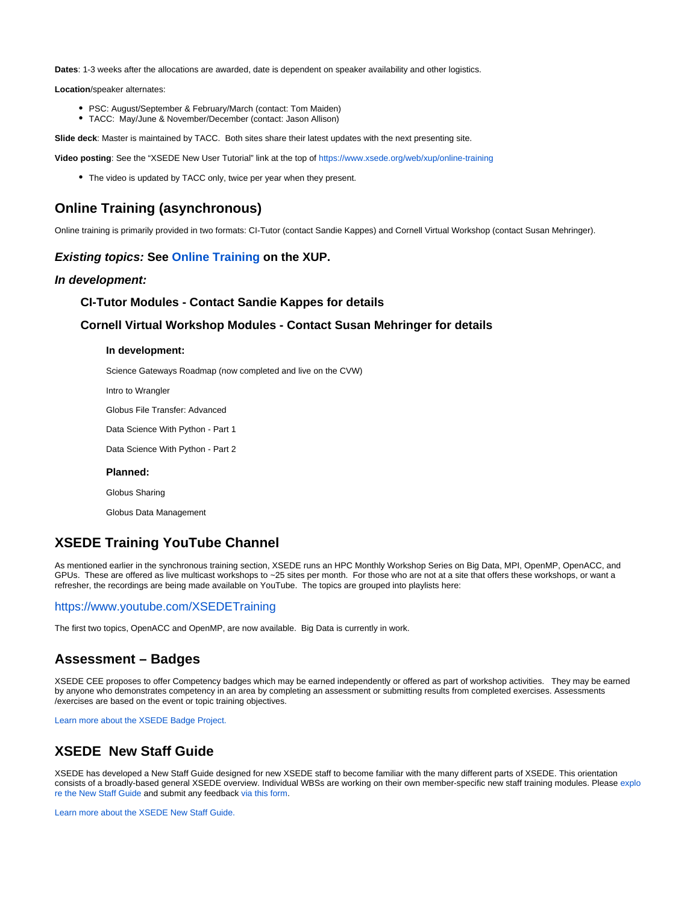**Dates**: 1-3 weeks after the allocations are awarded, date is dependent on speaker availability and other logistics.

**Location**/speaker alternates:

- PSC: August/September & February/March (contact: Tom Maiden)
- TACC: May/June & November/December (contact: Jason Allison)

**Slide deck**: Master is maintained by TACC. Both sites share their latest updates with the next presenting site.

**Video posting**: See the "XSEDE New User Tutorial" link at the top of<https://www.xsede.org/web/xup/online-training>

• The video is updated by TACC only, twice per year when they present.

### **Online Training (asynchronous)**

Online training is primarily provided in two formats: CI-Tutor (contact Sandie Kappes) and Cornell Virtual Workshop (contact Susan Mehringer).

#### **Existing topics: See [Online Training](https://portal.xsede.org/online-training) on the XUP.**

#### **In development:**

#### **CI-Tutor Modules - Contact Sandie Kappes for details**

#### **Cornell Virtual Workshop Modules - Contact Susan Mehringer for details**

#### **In development:**

Science Gateways Roadmap (now completed and live on the CVW)

Intro to Wrangler

Globus File Transfer: Advanced

Data Science With Python - Part 1

Data Science With Python - Part 2

#### **Planned:**

Globus Sharing

Globus Data Management

### **XSEDE Training YouTube Channel**

As mentioned earlier in the synchronous training section, XSEDE runs an HPC Monthly Workshop Series on Big Data, MPI, OpenMP, OpenACC, and GPUs. These are offered as live multicast workshops to ~25 sites per month. For those who are not at a site that offers these workshops, or want a refresher, the recordings are being made available on YouTube. The topics are grouped into playlists here:

#### <https://www.youtube.com/XSEDETraining>

The first two topics, OpenACC and OpenMP, are now available. Big Data is currently in work.

### **Assessment – Badges**

XSEDE CEE proposes to offer Competency badges which may be earned independently or offered as part of workshop activities. They may be earned by anyone who demonstrates competency in an area by completing an assessment or submitting results from completed exercises. Assessments /exercises are based on the event or topic training objectives.

[Learn more about the XSEDE Badge Project.](https://confluence.xsede.org/pages/viewpage.action?pageId=1675018)

### **XSEDE New Staff Guide**

XSEDE has developed a New Staff Guide designed for new XSEDE staff to become familiar with the many different parts of XSEDE. This orientation consists of a broadly-based general XSEDE overview. Individual WBSs are working on their own member-specific new staff training modules. Please [explo](https://confluence.xsede.org/display/XT/XSEDE+New+Staff+Guide) [re the New Staff Guide](https://confluence.xsede.org/display/XT/XSEDE+New+Staff+Guide) and submit any feedback [via this form.](https://docs.google.com/forms/d/e/1FAIpQLSfHsiC_zo5Tk95XcerqTQ9_G17kwcxkkXMILhg2cuAp4u2bqA/viewform)

[Learn more about the XSEDE New Staff Guide.](https://confluence.xsede.org/display/XT/XSEDE+Training+Project+Description%3A+New+Staff+Guide)